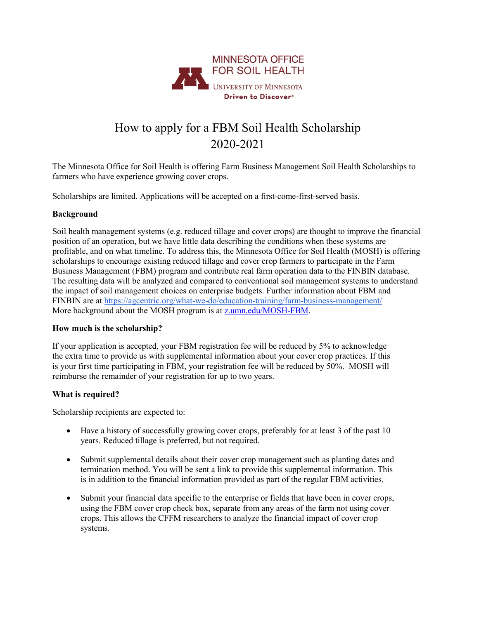

# How to apply for a FBM Soil Health Scholarship 2020-2021

The Minnesota Office for Soil Health is offering Farm Business Management Soil Health Scholarships to farmers who have experience growing cover crops.

Scholarships are limited. Applications will be accepted on a first-come-first-served basis.

### **Background**

Soil health management systems (e.g. reduced tillage and cover crops) are thought to improve the financial position of an operation, but we have little data describing the conditions when these systems are profitable, and on what timeline. To address this, the Minnesota Office for Soil Health (MOSH) is offering scholarships to encourage existing reduced tillage and cover crop farmers to participate in the Farm Business Management (FBM) program and contribute real farm operation data to the FINBIN database. The resulting data will be analyzed and compared to conventional soil management systems to understand the impact of soil management choices on enterprise budgets. Further information about FBM and FINBIN are at<https://agcentric.org/what-we-do/education-training/farm-business-management/> More background about the MOSH program is at [z.umn.edu/MOSH-FBM.](http://z.umn.edu/MOSH-FBM)

#### **How much is the scholarship?**

If your application is accepted, your FBM registration fee will be reduced by 5% to acknowledge the extra time to provide us with supplemental information about your cover crop practices. If this is your first time participating in FBM, your registration fee will be reduced by 50%. MOSH will reimburse the remainder of your registration for up to two years.

#### **What is required?**

Scholarship recipients are expected to:

- Have a history of successfully growing cover crops, preferably for at least 3 of the past 10 years. Reduced tillage is preferred, but not required.
- Submit supplemental details about their cover crop management such as planting dates and termination method. You will be sent a link to provide this supplemental information. This is in addition to the financial information provided as part of the regular FBM activities.
- Submit your financial data specific to the enterprise or fields that have been in cover crops, using the FBM cover crop check box, separate from any areas of the farm not using cover crops. This allows the CFFM researchers to analyze the financial impact of cover crop systems.